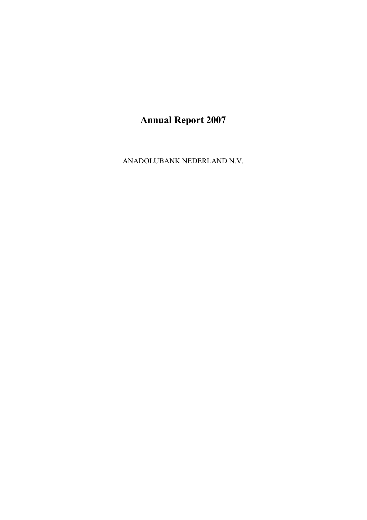ANADOLUBANK NEDERLAND N.V.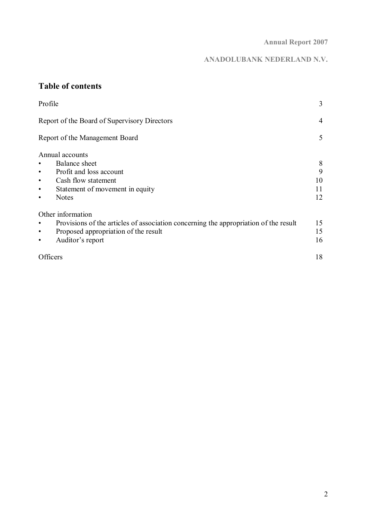# **ANADOLUBANK NEDERLAND N.V.**

# **Table of contents**

| Profile                                                                                                                                                                                   | 3                        |
|-------------------------------------------------------------------------------------------------------------------------------------------------------------------------------------------|--------------------------|
| Report of the Board of Supervisory Directors                                                                                                                                              | 4                        |
| Report of the Management Board                                                                                                                                                            | 5                        |
| Annual accounts<br>Balance sheet<br>Profit and loss account<br>$\bullet$<br>Cash flow statement<br>$\bullet$<br>Statement of movement in equity<br>$\bullet$<br><b>Notes</b><br>$\bullet$ | 8<br>9<br>10<br>11<br>12 |
| Other information<br>Provisions of the articles of association concerning the appropriation of the result<br>Proposed appropriation of the result<br>$\bullet$<br>Auditor's report<br>٠   | 15<br>15<br>16           |
| Officers                                                                                                                                                                                  | 18                       |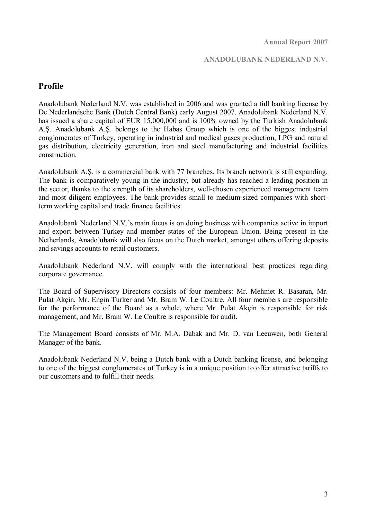#### **ANADOLUBANK NEDERLAND N.V.**

### **Profile**

Anadolubank Nederland N.V. was established in 2006 and was granted a full banking license by De Nederlandsche Bank (Dutch Central Bank) early August 2007. Anadolubank Nederland N.V. has issued a share capital of EUR 15,000,000 and is 100% owned by the Turkish Anadolubank A.Ş. Anadolubank A.Ş. belongs to the Habas Group which is one of the biggest industrial conglomerates of Turkey, operating in industrial and medical gases production, LPG and natural gas distribution, electricity generation, iron and steel manufacturing and industrial facilities construction.

Anadolubank A.Ş. is a commercial bank with 77 branches. Its branch network is still expanding. The bank is comparatively young in the industry, but already has reached a leading position in the sector, thanks to the strength of its shareholders, well-chosen experienced management team and most diligent employees. The bank provides small to medium-sized companies with shortterm working capital and trade finance facilities.

Anadolubank Nederland N.V.'s main focus is on doing business with companies active in import and export between Turkey and member states of the European Union. Being present in the Netherlands, Anadolubank will also focus on the Dutch market, amongst others offering deposits and savings accounts to retail customers.

Anadolubank Nederland N.V. will comply with the international best practices regarding corporate governance.

The Board of Supervisory Directors consists of four members: Mr. Mehmet R. Basaran, Mr. Pulat Akçin, Mr. Engin Turker and Mr. Bram W. Le Coultre. All four members are responsible for the performance of the Board as a whole, where Mr. Pulat Akçin is responsible for risk management, and Mr. Bram W. Le Coultre is responsible for audit.

The Management Board consists of Mr. M.A. Dabak and Mr. D. van Leeuwen, both General Manager of the bank.

Anadolubank Nederland N.V. being a Dutch bank with a Dutch banking license, and belonging to one of the biggest conglomerates of Turkey is in a unique position to offer attractive tariffs to our customers and to fulfill their needs.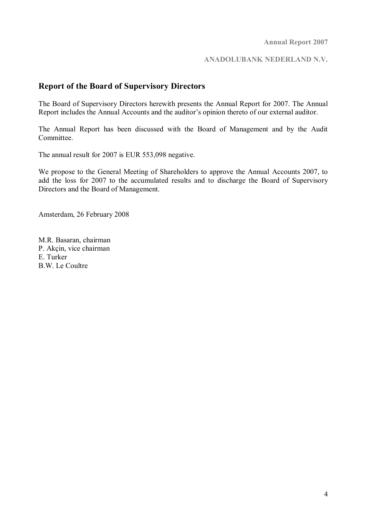#### **ANADOLUBANK NEDERLAND N.V.**

### **Report of the Board of Supervisory Directors**

The Board of Supervisory Directors herewith presents the Annual Report for 2007. The Annual Report includes the Annual Accounts and the auditor's opinion thereto of our external auditor.

The Annual Report has been discussed with the Board of Management and by the Audit Committee.

The annual result for 2007 is EUR 553,098 negative.

We propose to the General Meeting of Shareholders to approve the Annual Accounts 2007, to add the loss for 2007 to the accumulated results and to discharge the Board of Supervisory Directors and the Board of Management.

Amsterdam, 26 February 2008

M.R. Basaran, chairman P. Akçin, vice chairman E. Turker B.W. Le Coultre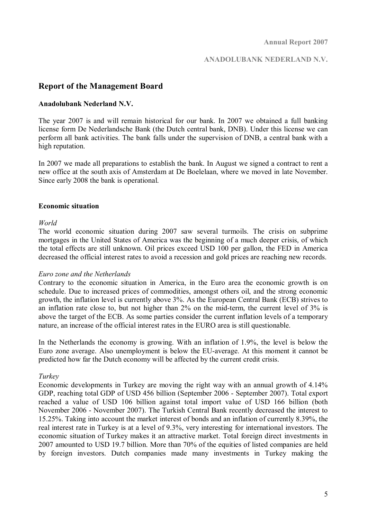#### **ANADOLUBANK NEDERLAND N.V.**

### **Report of the Management Board**

#### **Anadolubank Nederland N.V.**

The year 2007 is and will remain historical for our bank. In 2007 we obtained a full banking license form De Nederlandsche Bank (the Dutch central bank, DNB). Under this license we can perform all bank activities. The bank falls under the supervision of DNB, a central bank with a high reputation.

In 2007 we made all preparations to establish the bank. In August we signed a contract to rent a new office at the south axis of Amsterdam at De Boelelaan, where we moved in late November. Since early 2008 the bank is operational.

#### **Economic situation**

#### *World*

The world economic situation during 2007 saw several turmoils. The crisis on subprime mortgages in the United States of America was the beginning of a much deeper crisis, of which the total effects are still unknown. Oil prices exceed USD 100 per gallon, the FED in America decreased the official interest rates to avoid a recession and gold prices are reaching new records.

#### *Euro zone and the Netherlands*

Contrary to the economic situation in America, in the Euro area the economic growth is on schedule. Due to increased prices of commodities, amongst others oil, and the strong economic growth, the inflation level is currently above 3%. As the European Central Bank (ECB) strives to an inflation rate close to, but not higher than 2% on the mid-term, the current level of 3% is above the target of the ECB. As some parties consider the current inflation levels of a temporary nature, an increase of the official interest rates in the EURO area is still questionable.

In the Netherlands the economy is growing. With an inflation of 1.9%, the level is below the Euro zone average. Also unemployment is below the EU-average. At this moment it cannot be predicted how far the Dutch economy will be affected by the current credit crisis.

#### *Turkey*

Economic developments in Turkey are moving the right way with an annual growth of 4.14% GDP, reaching total GDP of USD 456 billion (September 2006 - September 2007). Total export reached a value of USD 106 billion against total import value of USD 166 billion (both November 2006 - November 2007). The Turkish Central Bank recently decreased the interest to 15.25%. Taking into account the market interest of bonds and an inflation of currently 8.39%, the real interest rate in Turkey is at a level of 9.3%, very interesting for international investors. The economic situation of Turkey makes it an attractive market. Total foreign direct investments in 2007 amounted to USD 19.7 billion. More than 70% of the equities of listed companies are held by foreign investors. Dutch companies made many investments in Turkey making the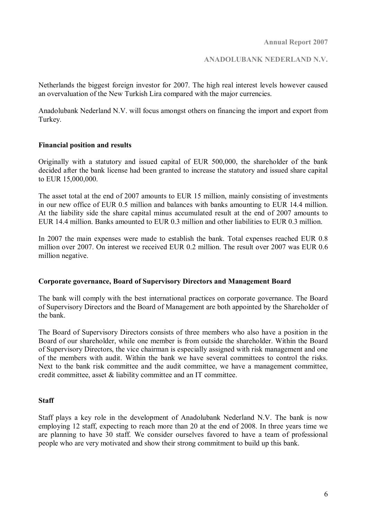**ANADOLUBANK NEDERLAND N.V.** 

Netherlands the biggest foreign investor for 2007. The high real interest levels however caused an overvaluation of the New Turkish Lira compared with the major currencies.

Anadolubank Nederland N.V. will focus amongst others on financing the import and export from Turkey.

#### **Financial position and results**

Originally with a statutory and issued capital of EUR 500,000, the shareholder of the bank decided after the bank license had been granted to increase the statutory and issued share capital to EUR 15,000,000.

The asset total at the end of 2007 amounts to EUR 15 million, mainly consisting of investments in our new office of EUR 0.5 million and balances with banks amounting to EUR 14.4 million. At the liability side the share capital minus accumulated result at the end of 2007 amounts to EUR 14.4 million. Banks amounted to EUR 0.3 million and other liabilities to EUR 0.3 million.

In 2007 the main expenses were made to establish the bank. Total expenses reached EUR 0.8 million over 2007. On interest we received EUR 0.2 million. The result over 2007 was EUR 0.6 million negative.

#### **Corporate governance, Board of Supervisory Directors and Management Board**

The bank will comply with the best international practices on corporate governance. The Board of Supervisory Directors and the Board of Management are both appointed by the Shareholder of the bank.

The Board of Supervisory Directors consists of three members who also have a position in the Board of our shareholder, while one member is from outside the shareholder. Within the Board of Supervisory Directors, the vice chairman is especially assigned with risk management and one of the members with audit. Within the bank we have several committees to control the risks. Next to the bank risk committee and the audit committee, we have a management committee, credit committee, asset & liability committee and an IT committee.

#### **Staff**

Staff plays a key role in the development of Anadolubank Nederland N.V. The bank is now employing 12 staff, expecting to reach more than 20 at the end of 2008. In three years time we are planning to have 30 staff. We consider ourselves favored to have a team of professional people who are very motivated and show their strong commitment to build up this bank.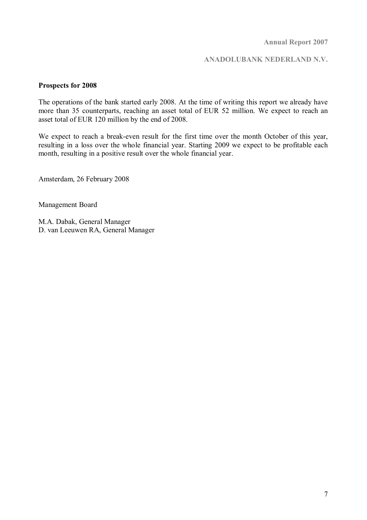#### **ANADOLUBANK NEDERLAND N.V.**

#### **Prospects for 2008**

The operations of the bank started early 2008. At the time of writing this report we already have more than 35 counterparts, reaching an asset total of EUR 52 million. We expect to reach an asset total of EUR 120 million by the end of 2008.

We expect to reach a break-even result for the first time over the month October of this year, resulting in a loss over the whole financial year. Starting 2009 we expect to be profitable each month, resulting in a positive result over the whole financial year.

Amsterdam, 26 February 2008

Management Board

M.A. Dabak, General Manager D. van Leeuwen RA, General Manager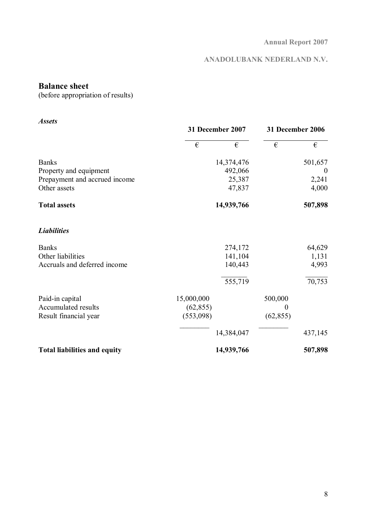# **ANADOLUBANK NEDERLAND N.V.**

# **Balance sheet**

(before appropriation of results)

| <b>Assets</b>                       |                      |                  |          |
|-------------------------------------|----------------------|------------------|----------|
|                                     | 31 December 2007     | 31 December 2006 |          |
|                                     | €<br>€               | €                | €        |
| <b>Banks</b>                        | 14,374,476           |                  | 501,657  |
| Property and equipment              | 492,066              |                  | $\theta$ |
| Prepayment and accrued income       | 25,387               |                  | 2,241    |
| Other assets                        | 47,837               |                  | 4,000    |
| <b>Total assets</b>                 | 14,939,766           |                  | 507,898  |
| <b>Liabilities</b>                  |                      |                  |          |
| <b>Banks</b>                        | 274,172              |                  | 64,629   |
| Other liabilities                   | 141,104              |                  | 1,131    |
| Accruals and deferred income        | 140,443              |                  | 4,993    |
|                                     | $\overline{555,719}$ |                  | 70,753   |
| Paid-in capital                     | 15,000,000           | 500,000          |          |
| Accumulated results                 | (62, 855)            | $\boldsymbol{0}$ |          |
| Result financial year               | (553,098)            | (62, 855)        |          |
|                                     | 14,384,047           |                  | 437,145  |
| <b>Total liabilities and equity</b> | 14,939,766           |                  | 507,898  |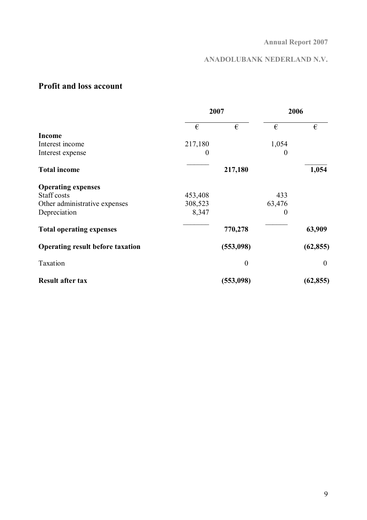# **ANADOLUBANK NEDERLAND N.V.**

# **Profit and loss account**

|                                         |          | 2007           |          | 2006             |
|-----------------------------------------|----------|----------------|----------|------------------|
|                                         | €        | €              | €        | €                |
| <b>Income</b>                           |          |                |          |                  |
| Interest income                         | 217,180  |                | 1,054    |                  |
| Interest expense                        | $\theta$ |                | $\theta$ |                  |
| <b>Total income</b>                     |          | 217,180        |          | 1,054            |
| <b>Operating expenses</b>               |          |                |          |                  |
| Staff costs                             | 453,408  |                | 433      |                  |
| Other administrative expenses           | 308,523  |                | 63,476   |                  |
| Depreciation                            | 8,347    |                | 0        |                  |
| <b>Total operating expenses</b>         |          | 770,278        |          | 63,909           |
| <b>Operating result before taxation</b> |          | (553,098)      |          | (62, 855)        |
| Taxation                                |          | $\overline{0}$ |          | $\boldsymbol{0}$ |
| <b>Result after tax</b>                 |          | (553,098)      |          | (62, 855)        |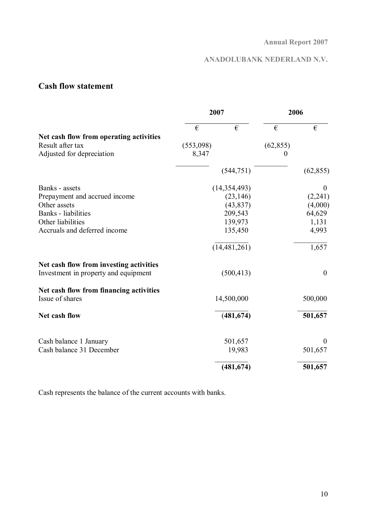# **ANADOLUBANK NEDERLAND N.V.**

# **Cash flow statement**

|                                         | 2007      |                | 2006      |                  |
|-----------------------------------------|-----------|----------------|-----------|------------------|
|                                         | €         | €              | €         | €                |
| Net cash flow from operating activities |           |                |           |                  |
| Result after tax                        | (553,098) |                | (62, 855) |                  |
| Adjusted for depreciation               | 8,347     |                | 0         |                  |
|                                         |           | (544, 751)     |           | (62, 855)        |
| Banks - assets                          |           | (14, 354, 493) |           | $\boldsymbol{0}$ |
| Prepayment and accrued income           |           | (23, 146)      |           | (2,241)          |
| Other assets                            |           | (43, 837)      |           | (4,000)          |
| <b>Banks</b> - liabilities              |           | 209,543        |           | 64,629           |
| Other liabilities                       |           | 139,973        |           | 1,131            |
| Accruals and deferred income            |           | 135,450        |           | 4,993            |
|                                         |           | (14, 481, 261) |           | 1,657            |
| Net cash flow from investing activities |           |                |           |                  |
| Investment in property and equipment    |           | (500, 413)     |           | $\boldsymbol{0}$ |
| Net cash flow from financing activities |           |                |           |                  |
| Issue of shares                         |           | 14,500,000     |           | 500,000          |
| Net cash flow                           |           | (481, 674)     |           | 501,657          |
| Cash balance 1 January                  |           | 501,657        |           | $\Omega$         |
| Cash balance 31 December                |           | 19,983         |           | 501,657          |
|                                         |           | (481, 674)     |           | 501,657          |

Cash represents the balance of the current accounts with banks.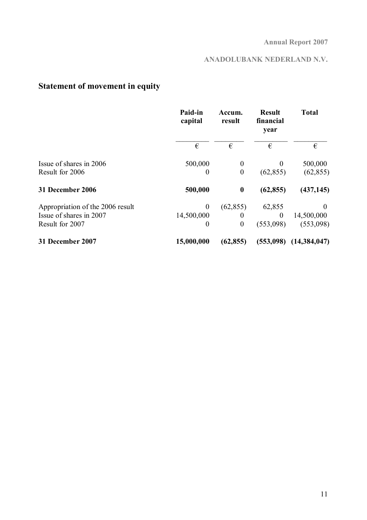# **ANADOLUBANK NEDERLAND N.V.**

# **Statement of movement in equity**

|                                  | Paid-in<br>capital | Accum.<br>result | <b>Result</b><br>financial<br>year | <b>Total</b>   |
|----------------------------------|--------------------|------------------|------------------------------------|----------------|
|                                  | €                  | €                | €                                  | €              |
| Issue of shares in 2006          | 500,000            | $\boldsymbol{0}$ | $\theta$                           | 500,000        |
| Result for 2006                  | 0                  | $\boldsymbol{0}$ | (62, 855)                          | (62, 855)      |
| 31 December 2006                 | 500,000            | $\boldsymbol{0}$ | (62, 855)                          | (437, 145)     |
| Appropriation of the 2006 result | $\theta$           | (62, 855)        | 62,855                             | $\Omega$       |
| Issue of shares in 2007          | 14,500,000         | $\theta$         | $\theta$                           | 14,500,000     |
| Result for 2007                  | $\theta$           | $\boldsymbol{0}$ | (553,098)                          | (553,098)      |
| 31 December 2007                 | 15,000,000         | (62, 855)        | (553,098)                          | (14, 384, 047) |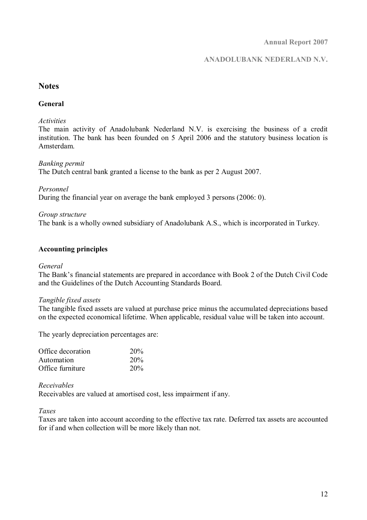### **ANADOLUBANK NEDERLAND N.V.**

### **Notes**

#### **General**

#### *Activities*

The main activity of Anadolubank Nederland N.V. is exercising the business of a credit institution. The bank has been founded on 5 April 2006 and the statutory business location is Amsterdam.

#### *Banking permit*

The Dutch central bank granted a license to the bank as per 2 August 2007.

#### *Personnel*

During the financial year on average the bank employed 3 persons (2006: 0).

#### *Group structure*

The bank is a wholly owned subsidiary of Anadolubank A.S., which is incorporated in Turkey.

#### **Accounting principles**

#### *General*

The Bank's financial statements are prepared in accordance with Book 2 of the Dutch Civil Code and the Guidelines of the Dutch Accounting Standards Board.

#### *Tangible fixed assets*

The tangible fixed assets are valued at purchase price minus the accumulated depreciations based on the expected economical lifetime. When applicable, residual value will be taken into account.

The yearly depreciation percentages are:

| Office decoration | 20% |
|-------------------|-----|
| Automation        | 20% |
| Office furniture  | 20% |

#### *Receivables*

Receivables are valued at amortised cost, less impairment if any.

*Taxes* 

Taxes are taken into account according to the effective tax rate. Deferred tax assets are accounted for if and when collection will be more likely than not.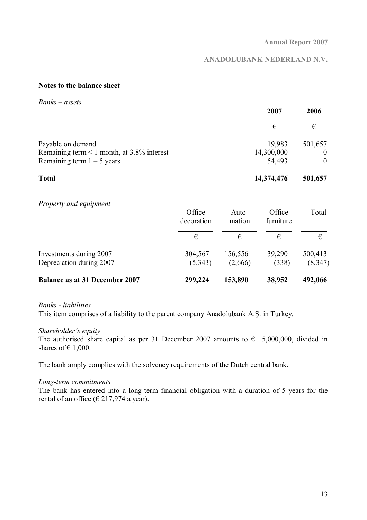### **ANADOLUBANK NEDERLAND N.V.**

#### **Notes to the balance sheet**

*Banks – assets* 

|                                                 | 2007       | 2006     |
|-------------------------------------------------|------------|----------|
|                                                 | €          | €        |
| Payable on demand                               | 19,983     | 501,657  |
| Remaining term $\leq 1$ month, at 3.8% interest | 14,300,000 | $\theta$ |
| Remaining term $1 - 5$ years                    | 54,493     | $\theta$ |
| <b>Total</b>                                    | 14,374,476 | 501,657  |

#### *Property and equipment*

|                                                     | Office<br>decoration | Auto-<br>mation    | Office<br>furniture | Total              |
|-----------------------------------------------------|----------------------|--------------------|---------------------|--------------------|
|                                                     | €                    | €                  | €                   | €                  |
| Investments during 2007<br>Depreciation during 2007 | 304,567<br>(5,343)   | 156,556<br>(2,666) | 39,290<br>(338)     | 500,413<br>(8,347) |
| <b>Balance as at 31 December 2007</b>               | 299,224              | 153,890            | 38,952              | 492,066            |

#### *Banks - liabilities*

This item comprises of a liability to the parent company Anadolubank A.Ş. in Turkey.

#### *Shareholder's equity*

The authorised share capital as per 31 December 2007 amounts to  $\epsilon$  15,000,000, divided in shares of  $\epsilon$  1,000.

The bank amply complies with the solvency requirements of the Dutch central bank.

#### *Long-term commitments*

The bank has entered into a long-term financial obligation with a duration of 5 years for the rental of an office ( $\epsilon$  217,974 a year).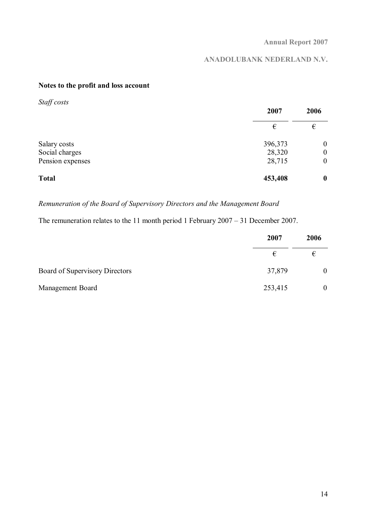# **ANADOLUBANK NEDERLAND N.V.**

### **Notes to the profit and loss account**

| Staff costs      | 2007    | 2006             |
|------------------|---------|------------------|
|                  | €       | €                |
| Salary costs     | 396,373 | $\boldsymbol{0}$ |
| Social charges   | 28,320  | $\boldsymbol{0}$ |
| Pension expenses | 28,715  | $\boldsymbol{0}$ |
| <b>Total</b>     | 453,408 | $\boldsymbol{0}$ |

*Remuneration of the Board of Supervisory Directors and the Management Board* 

The remuneration relates to the 11 month period 1 February 2007 – 31 December 2007.

|                                | 2007    | 2006           |
|--------------------------------|---------|----------------|
|                                | €       | €              |
| Board of Supervisory Directors | 37,879  | $\overline{0}$ |
| Management Board               | 253,415 | $\overline{0}$ |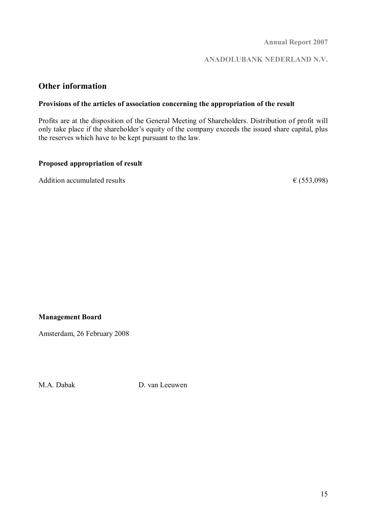**ANADOLUBANK NEDERLAND N.V.** 

### **Other information**

#### **Provisions of the articles of association concerning the appropriation of the result**

Profits are at the disposition of the General Meeting of Shareholders. Distribution of profit will only take place if the shareholder's equity of the company exceeds the issued share capital, plus the reserves which have to be kept pursuant to the law.

#### **Proposed appropriation of result**

Addition accumulated results  $\epsilon$  (553,098)

### **Management Board**

Amsterdam, 26 February 2008

M.A. Dabak D. van Leeuwen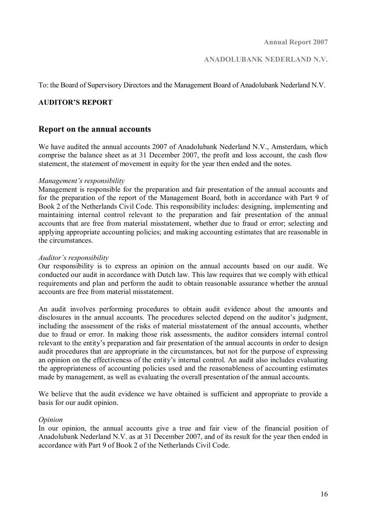To: the Board of Supervisory Directors and the Management Board of Anadolubank Nederland N.V.

#### **AUDITOR'S REPORT**

#### **Report on the annual accounts**

We have audited the annual accounts 2007 of Anadolubank Nederland N.V., Amsterdam, which comprise the balance sheet as at 31 December 2007, the profit and loss account, the cash flow statement, the statement of movement in equity for the year then ended and the notes.

#### *Management's responsibility*

Management is responsible for the preparation and fair presentation of the annual accounts and for the preparation of the report of the Management Board, both in accordance with Part 9 of Book 2 of the Netherlands Civil Code. This responsibility includes: designing, implementing and maintaining internal control relevant to the preparation and fair presentation of the annual accounts that are free from material misstatement, whether due to fraud or error; selecting and applying appropriate accounting policies; and making accounting estimates that are reasonable in the circumstances.

#### *Auditor's responsibility*

Our responsibility is to express an opinion on the annual accounts based on our audit. We conducted our audit in accordance with Dutch law. This law requires that we comply with ethical requirements and plan and perform the audit to obtain reasonable assurance whether the annual accounts are free from material misstatement.

An audit involves performing procedures to obtain audit evidence about the amounts and disclosures in the annual accounts. The procedures selected depend on the auditor's judgment, including the assessment of the risks of material misstatement of the annual accounts, whether due to fraud or error. In making those risk assessments, the auditor considers internal control relevant to the entity's preparation and fair presentation of the annual accounts in order to design audit procedures that are appropriate in the circumstances, but not for the purpose of expressing an opinion on the effectiveness of the entity's internal control. An audit also includes evaluating the appropriateness of accounting policies used and the reasonableness of accounting estimates made by management, as well as evaluating the overall presentation of the annual accounts.

We believe that the audit evidence we have obtained is sufficient and appropriate to provide a basis for our audit opinion.

#### *Opinion*

In our opinion, the annual accounts give a true and fair view of the financial position of Anadolubank Nederland N.V. as at 31 December 2007, and of its result for the year then ended in accordance with Part 9 of Book 2 of the Netherlands Civil Code.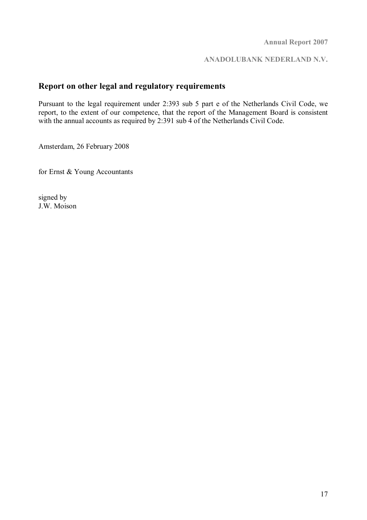**ANADOLUBANK NEDERLAND N.V.** 

## **Report on other legal and regulatory requirements**

Pursuant to the legal requirement under 2:393 sub 5 part e of the Netherlands Civil Code, we report, to the extent of our competence, that the report of the Management Board is consistent with the annual accounts as required by 2:391 sub 4 of the Netherlands Civil Code.

Amsterdam, 26 February 2008

for Ernst & Young Accountants

signed by J.W. Moison